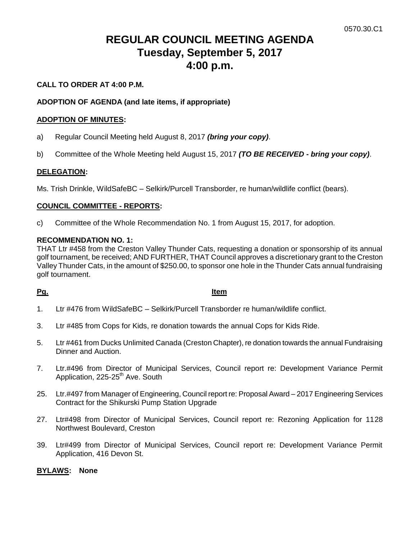# **REGULAR COUNCIL MEETING AGENDA Tuesday, September 5, 2017 4:00 p.m.**

# **CALL TO ORDER AT 4:00 P.M.**

### **ADOPTION OF AGENDA (and late items, if appropriate)**

#### **ADOPTION OF MINUTES:**

- a) Regular Council Meeting held August 8, 2017 *(bring your copy)*.
- b) Committee of the Whole Meeting held August 15, 2017 *(TO BE RECEIVED - bring your copy)*.

#### **DELEGATION:**

Ms. Trish Drinkle, WildSafeBC – Selkirk/Purcell Transborder, re human/wildlife conflict (bears).

#### **COUNCIL COMMITTEE - REPORTS:**

c) Committee of the Whole Recommendation No. 1 from August 15, 2017, for adoption.

#### **RECOMMENDATION NO. 1:**

THAT Ltr #458 from the Creston Valley Thunder Cats, requesting a donation or sponsorship of its annual golf tournament, be received; AND FURTHER, THAT Council approves a discretionary grant to the Creston Valley Thunder Cats, in the amount of \$250.00, to sponsor one hole in the Thunder Cats annual fundraising golf tournament.

#### **Pg. Item**

- 1. Ltr #476 from WildSafeBC Selkirk/Purcell Transborder re human/wildlife conflict.
- 3. Ltr #485 from Cops for Kids, re donation towards the annual Cops for Kids Ride.
- 5. Ltr #461 from Ducks Unlimited Canada (Creston Chapter), re donation towards the annual Fundraising Dinner and Auction.
- 7. Ltr.#496 from Director of Municipal Services, Council report re: Development Variance Permit Application, 225-25<sup>th</sup> Ave. South
- 25. Ltr.#497 from Manager of Engineering, Council report re: Proposal Award 2017 Engineering Services Contract for the Shikurski Pump Station Upgrade
- 27. Ltr#498 from Director of Municipal Services, Council report re: Rezoning Application for 1128 Northwest Boulevard, Creston
- 39. Ltr#499 from Director of Municipal Services, Council report re: Development Variance Permit Application, 416 Devon St.

#### **BYLAWS: None**